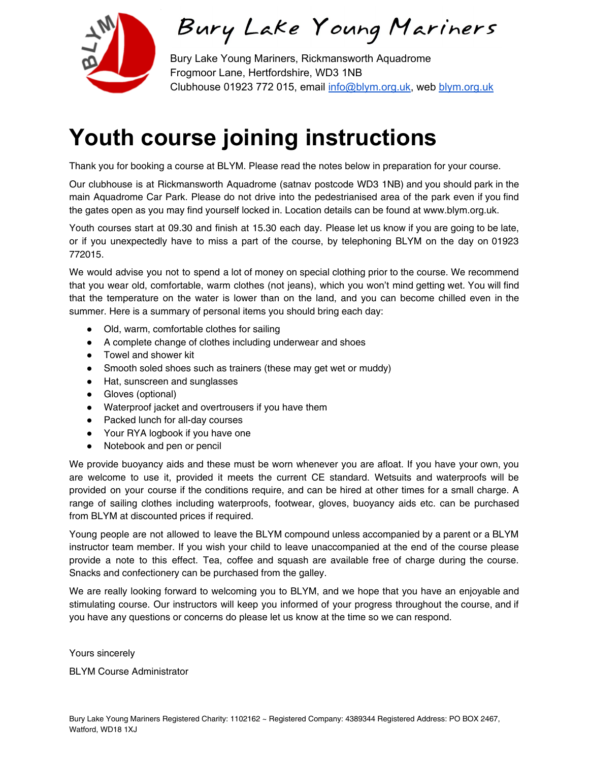

Bury Lake Young Mariners

Bury Lake Young Mariners, Rickmansworth Aquadrome Frogmoor Lane, Hertfordshire, WD3 1NB Clubhouse 01923 772 015, email [info@blym.org.uk,](mailto:info@blym.org.uk) web [blym.org.uk](http://www.blym.org.uk/)

# **Youth course joining instructions**

Thank you for booking a course at BLYM. Please read the notes below in preparation for your course.

Our clubhouse is at Rickmansworth Aquadrome (satnav postcode WD3 1NB) and you should park in the main Aquadrome Car Park. Please do not drive into the pedestrianised area of the park even if you find the gates open as you may find yourself locked in. Location details can be found at www.blym.org.uk.

Youth courses start at 09.30 and finish at 15.30 each day. Please let us know if you are going to be late, or if you unexpectedly have to miss a part of the course, by telephoning BLYM on the day on 01923 772015.

We would advise you not to spend a lot of money on special clothing prior to the course. We recommend that you wear old, comfortable, warm clothes (not jeans), which you won't mind getting wet. You will find that the temperature on the water is lower than on the land, and you can become chilled even in the summer. Here is a summary of personal items you should bring each day:

- Old, warm, comfortable clothes for sailing
- A complete change of clothes including underwear and shoes
- Towel and shower kit
- Smooth soled shoes such as trainers (these may get wet or muddy)
- Hat, sunscreen and sunglasses
- Gloves (optional)
- Waterproof jacket and overtrousers if you have them
- Packed lunch for all-day courses
- Your RYA logbook if you have one
- Notebook and pen or pencil

We provide buoyancy aids and these must be worn whenever you are afloat. If you have your own, you are welcome to use it, provided it meets the current CE standard. Wetsuits and waterproofs will be provided on your course if the conditions require, and can be hired at other times for a small charge. A range of sailing clothes including waterproofs, footwear, gloves, buoyancy aids etc. can be purchased from BLYM at discounted prices if required.

Young people are not allowed to leave the BLYM compound unless accompanied by a parent or a BLYM instructor team member. If you wish your child to leave unaccompanied at the end of the course please provide a note to this effect. Tea, coffee and squash are available free of charge during the course. Snacks and confectionery can be purchased from the galley.

We are really looking forward to welcoming you to BLYM, and we hope that you have an enjoyable and stimulating course. Our instructors will keep you informed of your progress throughout the course, and if you have any questions or concerns do please let us know at the time so we can respond.

Yours sincerely

BLYM Course Administrator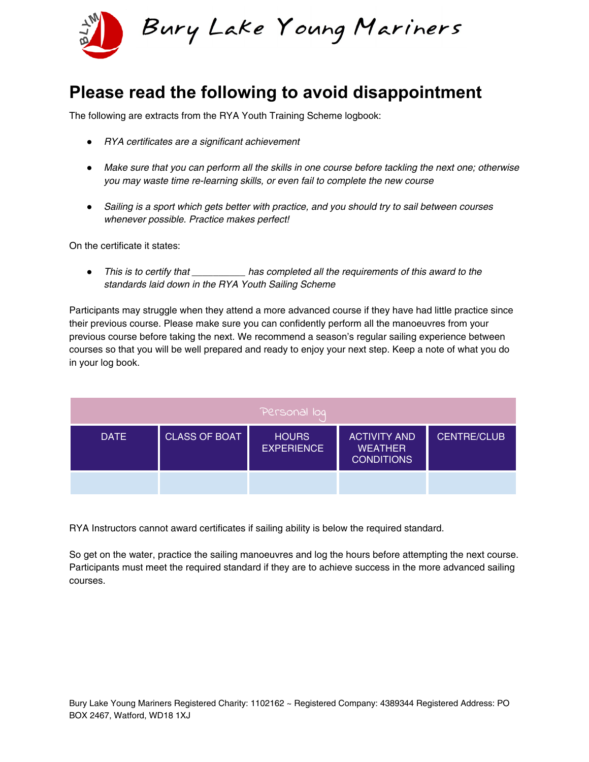

### **Please read the following to avoid disappointment**

The following are extracts from the RYA Youth Training Scheme logbook:

- *●* RYA certificates are a significant achievement
- *●* Make sure that you can perform all the skills in one course before tackling the next one; otherwise you may waste time re-learning skills, or even fail to complete the new course
- *●* Sailing is a sport which gets better with practice, and you should try to sail between courses whenever possible. Practice makes perfect!

On the certificate it states:

● This is to certify that **the accompleted all the requirements of this award to the** standards laid down in the RYA Youth Sailing Scheme

Participants may struggle when they attend a more advanced course if they have had little practice since their previous course. Please make sure you can confidently perform all the manoeuvres from your previous course before taking the next. We recommend a season's regular sailing experience between courses so that you will be well prepared and ready to enjoy your next step. Keep a note of what you do in your log book.

| Personal log |                      |                                   |                                                            |                    |
|--------------|----------------------|-----------------------------------|------------------------------------------------------------|--------------------|
| <b>DATE</b>  | <b>CLASS OF BOAT</b> | <b>HOURS</b><br><b>EXPERIENCE</b> | <b>ACTIVITY AND</b><br><b>WEATHER</b><br><b>CONDITIONS</b> | <b>CENTRE/CLUB</b> |
|              |                      |                                   |                                                            |                    |

RYA Instructors cannot award certificates if sailing ability is below the required standard.

So get on the water, practice the sailing manoeuvres and log the hours before attempting the next course. Participants must meet the required standard if they are to achieve success in the more advanced sailing courses.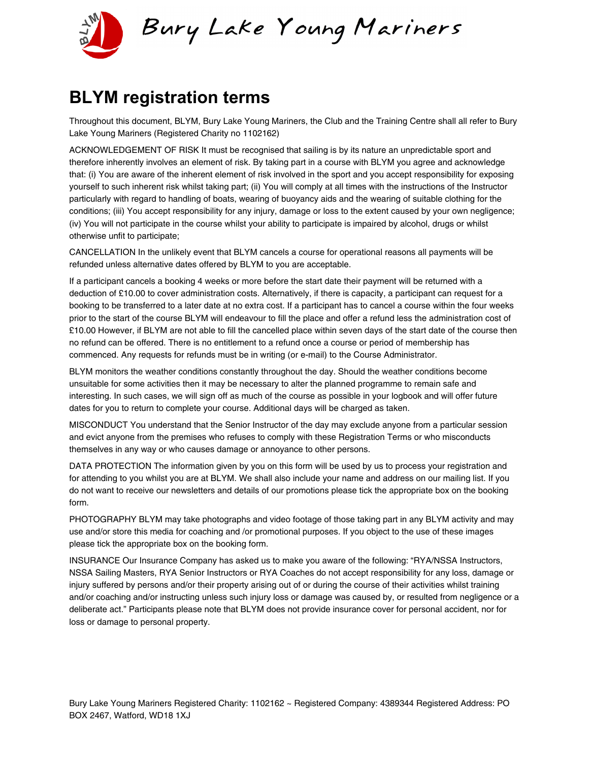

#### **BLYM registration terms**

Throughout this document, BLYM, Bury Lake Young Mariners, the Club and the Training Centre shall all refer to Bury Lake Young Mariners (Registered Charity no 1102162)

ACKNOWLEDGEMENT OF RISK It must be recognised that sailing is by its nature an unpredictable sport and therefore inherently involves an element of risk. By taking part in a course with BLYM you agree and acknowledge that: (i) You are aware of the inherent element of risk involved in the sport and you accept responsibility for exposing yourself to such inherent risk whilst taking part; (ii) You will comply at all times with the instructions of the Instructor particularly with regard to handling of boats, wearing of buoyancy aids and the wearing of suitable clothing for the conditions; (iii) You accept responsibility for any injury, damage or loss to the extent caused by your own negligence; (iv) You will not participate in the course whilst your ability to participate is impaired by alcohol, drugs or whilst otherwise unfit to participate;

CANCELLATION In the unlikely event that BLYM cancels a course for operational reasons all payments will be refunded unless alternative dates offered by BLYM to you are acceptable.

If a participant cancels a booking 4 weeks or more before the start date their payment will be returned with a deduction of £10.00 to cover administration costs. Alternatively, if there is capacity, a participant can request for a booking to be transferred to a later date at no extra cost. If a participant has to cancel a course within the four weeks prior to the start of the course BLYM will endeavour to fill the place and offer a refund less the administration cost of £10.00 However, if BLYM are not able to fill the cancelled place within seven days of the start date of the course then no refund can be offered. There is no entitlement to a refund once a course or period of membership has commenced. Any requests for refunds must be in writing (or e-mail) to the Course Administrator.

BLYM monitors the weather conditions constantly throughout the day. Should the weather conditions become unsuitable for some activities then it may be necessary to alter the planned programme to remain safe and interesting. In such cases, we will sign off as much of the course as possible in your logbook and will offer future dates for you to return to complete your course. Additional days will be charged as taken.

MISCONDUCT You understand that the Senior Instructor of the day may exclude anyone from a particular session and evict anyone from the premises who refuses to comply with these Registration Terms or who misconducts themselves in any way or who causes damage or annoyance to other persons.

DATA PROTECTION The information given by you on this form will be used by us to process your registration and for attending to you whilst you are at BLYM. We shall also include your name and address on our mailing list. If you do not want to receive our newsletters and details of our promotions please tick the appropriate box on the booking form.

PHOTOGRAPHY BLYM may take photographs and video footage of those taking part in any BLYM activity and may use and/or store this media for coaching and /or promotional purposes. If you object to the use of these images please tick the appropriate box on the booking form.

INSURANCE Our Insurance Company has asked us to make you aware of the following: "RYA/NSSA Instructors, NSSA Sailing Masters, RYA Senior Instructors or RYA Coaches do not accept responsibility for any loss, damage or injury suffered by persons and/or their property arising out of or during the course of their activities whilst training and/or coaching and/or instructing unless such injury loss or damage was caused by, or resulted from negligence or a deliberate act." Participants please note that BLYM does not provide insurance cover for personal accident, nor for loss or damage to personal property.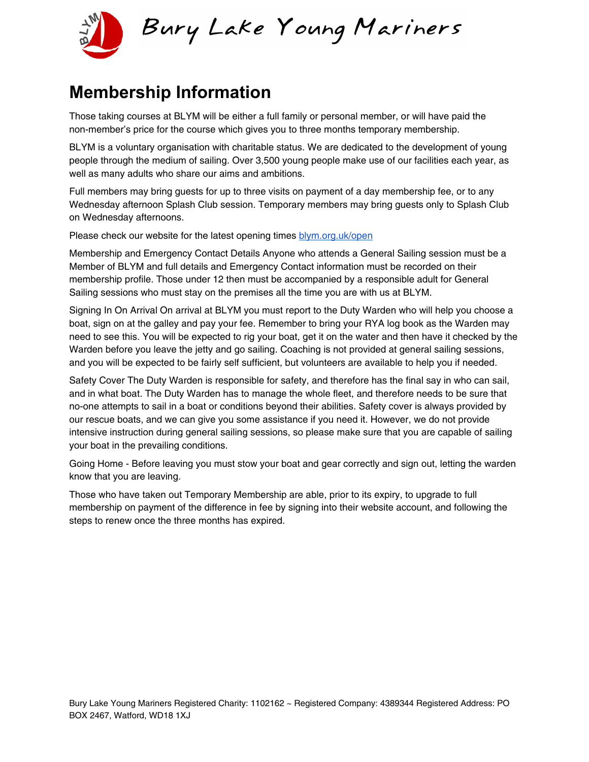

## **Membership Information**

Those taking courses at BLYM will be either a full family or personal member, or will have paid the non-member's price for the course which gives you to three months temporary membership.

BLYM is a voluntary organisation with charitable status. We are dedicated to the development of young people through the medium of sailing. Over 3,500 young people make use of our facilities each year, as well as many adults who share our aims and ambitions.

Full members may bring guests for up to three visits on payment of a day membership fee, or to any Wednesday afternoon Splash Club session. Temporary members may bring guests only to Splash Club on Wednesday afternoons.

Please check our website for the latest opening times [blym.org.uk/open](http://www.blym.org.uk/open)

Membership and Emergency Contact Details Anyone who attends a General Sailing session must be a Member of BLYM and full details and Emergency Contact information must be recorded on their membership profile. Those under 12 then must be accompanied by a responsible adult for General Sailing sessions who must stay on the premises all the time you are with us at BLYM.

Signing In On Arrival On arrival at BLYM you must report to the Duty Warden who will help you choose a boat, sign on at the galley and pay your fee. Remember to bring your RYA log book as the Warden may need to see this. You will be expected to rig your boat, get it on the water and then have it checked by the Warden before you leave the jetty and go sailing. Coaching is not provided at general sailing sessions, and you will be expected to be fairly self sufficient, but volunteers are available to help you if needed.

Safety Cover The Duty Warden is responsible for safety, and therefore has the final say in who can sail, and in what boat. The Duty Warden has to manage the whole fleet, and therefore needs to be sure that no-one attempts to sail in a boat or conditions beyond their abilities. Safety cover is always provided by our rescue boats, and we can give you some assistance if you need it. However, we do not provide intensive instruction during general sailing sessions, so please make sure that you are capable of sailing your boat in the prevailing conditions.

Going Home - Before leaving you must stow your boat and gear correctly and sign out, letting the warden know that you are leaving.

Those who have taken out Temporary Membership are able, prior to its expiry, to upgrade to full membership on payment of the difference in fee by signing into their website account, and following the steps to renew once the three months has expired.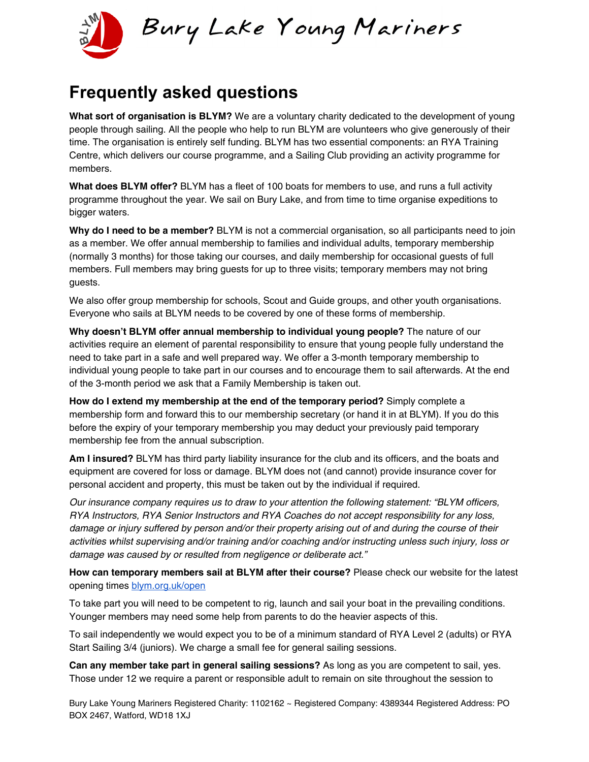

#### **Frequently asked questions**

**What sort of organisation is BLYM?** We are a voluntary charity dedicated to the development of young people through sailing. All the people who help to run BLYM are volunteers who give generously of their time. The organisation is entirely self funding. BLYM has two essential components: an RYA Training Centre, which delivers our course programme, and a Sailing Club providing an activity programme for members.

**What does BLYM offer?** BLYM has a fleet of 100 boats for members to use, and runs a full activity programme throughout the year. We sail on Bury Lake, and from time to time organise expeditions to bigger waters.

**Why do I need to be a member?** BLYM is not a commercial organisation, so all participants need to join as a member. We offer annual membership to families and individual adults, temporary membership (normally 3 months) for those taking our courses, and daily membership for occasional guests of full members. Full members may bring guests for up to three visits; temporary members may not bring guests.

We also offer group membership for schools, Scout and Guide groups, and other youth organisations. Everyone who sails at BLYM needs to be covered by one of these forms of membership.

**Why doesn't BLYM offer annual membership to individual young people?** The nature of our activities require an element of parental responsibility to ensure that young people fully understand the need to take part in a safe and well prepared way. We offer a 3-month temporary membership to individual young people to take part in our courses and to encourage them to sail afterwards. At the end of the 3-month period we ask that a Family Membership is taken out.

**How do I extend my membership at the end of the temporary period?** Simply complete a membership form and forward this to our membership secretary (or hand it in at BLYM). If you do this before the expiry of your temporary membership you may deduct your previously paid temporary membership fee from the annual subscription.

**Am I insured?** BLYM has third party liability insurance for the club and its officers, and the boats and equipment are covered for loss or damage. BLYM does not (and cannot) provide insurance cover for personal accident and property, this must be taken out by the individual if required.

Our insurance company requires us to draw to your attention the following statement: "BLYM officers, RYA Instructors, RYA Senior Instructors and RYA Coaches do not accept responsibility for any loss, damage or injury suffered by person and/or their property arising out of and during the course of their activities whilst supervising and/or training and/or coaching and/or instructing unless such injury, loss or damage was caused by or resulted from negligence or deliberate act."

**How can temporary members sail at BLYM after their course?** Please check our website for the latest opening times [blym.org.uk/open](http://www.blym.org.uk/open)

To take part you will need to be competent to rig, launch and sail your boat in the prevailing conditions. Younger members may need some help from parents to do the heavier aspects of this.

To sail independently we would expect you to be of a minimum standard of RYA Level 2 (adults) or RYA Start Sailing 3/4 (juniors). We charge a small fee for general sailing sessions.

**Can any member take part in general sailing sessions?** As long as you are competent to sail, yes. Those under 12 we require a parent or responsible adult to remain on site throughout the session to

Bury Lake Young Mariners Registered Charity: 1102162 ~ Registered Company: 4389344 Registered Address: PO BOX 2467, Watford, WD18 1XJ